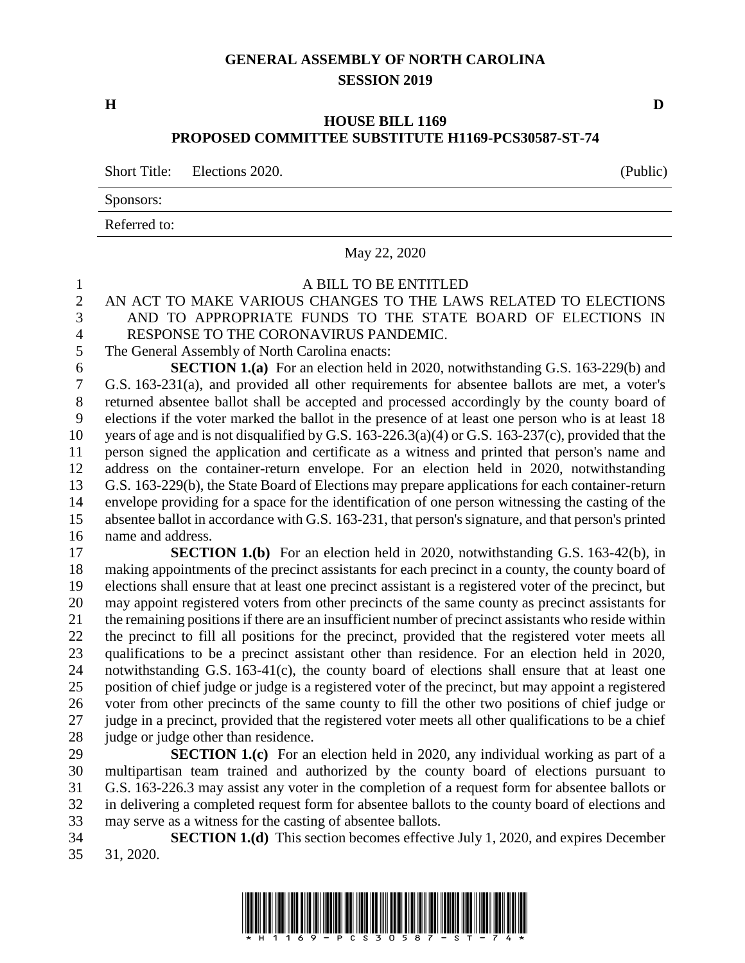## **GENERAL ASSEMBLY OF NORTH CAROLINA SESSION 2019**

**H D**

## **HOUSE BILL 1169 PROPOSED COMMITTEE SUBSTITUTE H1169-PCS30587-ST-74**

Short Title: Elections 2020.

Sponsors:

Referred to:

#### May 22, 2020

# A BILL TO BE ENTITLED AN ACT TO MAKE VARIOUS CHANGES TO THE LAWS RELATED TO ELECTIONS AND TO APPROPRIATE FUNDS TO THE STATE BOARD OF ELECTIONS IN RESPONSE TO THE CORONAVIRUS PANDEMIC. The General Assembly of North Carolina enacts: **SECTION 1.(a)** For an election held in 2020, notwithstanding G.S. 163-229(b) and G.S. 163-231(a), and provided all other requirements for absentee ballots are met, a voter's returned absentee ballot shall be accepted and processed accordingly by the county board of elections if the voter marked the ballot in the presence of at least one person who is at least 18 years of age and is not disqualified by G.S. 163-226.3(a)(4) or G.S. 163-237(c), provided that the person signed the application and certificate as a witness and printed that person's name and address on the container-return envelope. For an election held in 2020, notwithstanding G.S. 163-229(b), the State Board of Elections may prepare applications for each container-return envelope providing for a space for the identification of one person witnessing the casting of the absentee ballot in accordance with G.S. 163-231, that person's signature, and that person's printed name and address. **SECTION 1.(b)** For an election held in 2020, notwithstanding G.S. 163-42(b), in making appointments of the precinct assistants for each precinct in a county, the county board of elections shall ensure that at least one precinct assistant is a registered voter of the precinct, but may appoint registered voters from other precincts of the same county as precinct assistants for the remaining positions if there are an insufficient number of precinct assistants who reside within the precinct to fill all positions for the precinct, provided that the registered voter meets all qualifications to be a precinct assistant other than residence. For an election held in 2020, notwithstanding G.S. 163-41(c), the county board of elections shall ensure that at least one position of chief judge or judge is a registered voter of the precinct, but may appoint a registered voter from other precincts of the same county to fill the other two positions of chief judge or judge in a precinct, provided that the registered voter meets all other qualifications to be a chief 28 judge or judge other than residence. **SECTION 1.(c)** For an election held in 2020, any individual working as part of a multipartisan team trained and authorized by the county board of elections pursuant to G.S. 163-226.3 may assist any voter in the completion of a request form for absentee ballots or in delivering a completed request form for absentee ballots to the county board of elections and

may serve as a witness for the casting of absentee ballots.

 **SECTION 1.(d)** This section becomes effective July 1, 2020, and expires December 31, 2020.

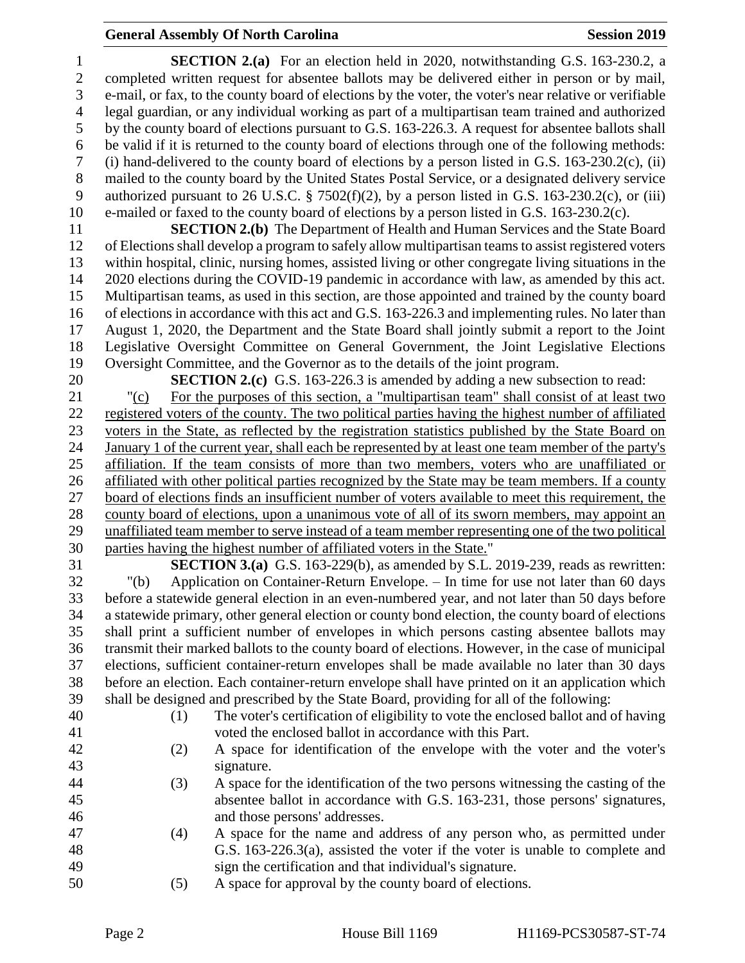## **General Assembly Of North Carolina Session 2019 Session 2019**

 **SECTION 2.(a)** For an election held in 2020, notwithstanding G.S. 163-230.2, a completed written request for absentee ballots may be delivered either in person or by mail, e-mail, or fax, to the county board of elections by the voter, the voter's near relative or verifiable legal guardian, or any individual working as part of a multipartisan team trained and authorized by the county board of elections pursuant to G.S. 163-226.3. A request for absentee ballots shall be valid if it is returned to the county board of elections through one of the following methods: (i) hand-delivered to the county board of elections by a person listed in G.S. 163-230.2(c), (ii) mailed to the county board by the United States Postal Service, or a designated delivery service authorized pursuant to 26 U.S.C. § 7502(f)(2), by a person listed in G.S. 163-230.2(c), or (iii) e-mailed or faxed to the county board of elections by a person listed in G.S. 163-230.2(c).

 **SECTION 2.(b)** The Department of Health and Human Services and the State Board of Elections shall develop a program to safely allow multipartisan teams to assist registered voters within hospital, clinic, nursing homes, assisted living or other congregate living situations in the 2020 elections during the COVID-19 pandemic in accordance with law, as amended by this act. Multipartisan teams, as used in this section, are those appointed and trained by the county board of elections in accordance with this act and G.S. 163-226.3 and implementing rules. No later than August 1, 2020, the Department and the State Board shall jointly submit a report to the Joint Legislative Oversight Committee on General Government, the Joint Legislative Elections Oversight Committee, and the Governor as to the details of the joint program.

**SECTION 2.(c)** G.S. 163-226.3 is amended by adding a new subsection to read:

 "(c) For the purposes of this section, a "multipartisan team" shall consist of at least two registered voters of the county. The two political parties having the highest number of affiliated voters in the State, as reflected by the registration statistics published by the State Board on January 1 of the current year, shall each be represented by at least one team member of the party's affiliation. If the team consists of more than two members, voters who are unaffiliated or affiliated with other political parties recognized by the State may be team members. If a county board of elections finds an insufficient number of voters available to meet this requirement, the county board of elections, upon a unanimous vote of all of its sworn members, may appoint an unaffiliated team member to serve instead of a team member representing one of the two political parties having the highest number of affiliated voters in the State."

 **SECTION 3.(a)** G.S. 163-229(b), as amended by S.L. 2019-239, reads as rewritten: "(b) Application on Container-Return Envelope. – In time for use not later than 60 days before a statewide general election in an even-numbered year, and not later than 50 days before a statewide primary, other general election or county bond election, the county board of elections shall print a sufficient number of envelopes in which persons casting absentee ballots may transmit their marked ballots to the county board of elections. However, in the case of municipal elections, sufficient container-return envelopes shall be made available no later than 30 days before an election. Each container-return envelope shall have printed on it an application which shall be designed and prescribed by the State Board, providing for all of the following:

 (1) The voter's certification of eligibility to vote the enclosed ballot and of having voted the enclosed ballot in accordance with this Part.

- (2) A space for identification of the envelope with the voter and the voter's signature.
- (3) A space for the identification of the two persons witnessing the casting of the absentee ballot in accordance with G.S. 163-231, those persons' signatures, and those persons' addresses.
- (4) A space for the name and address of any person who, as permitted under G.S. 163-226.3(a), assisted the voter if the voter is unable to complete and sign the certification and that individual's signature.
- (5) A space for approval by the county board of elections.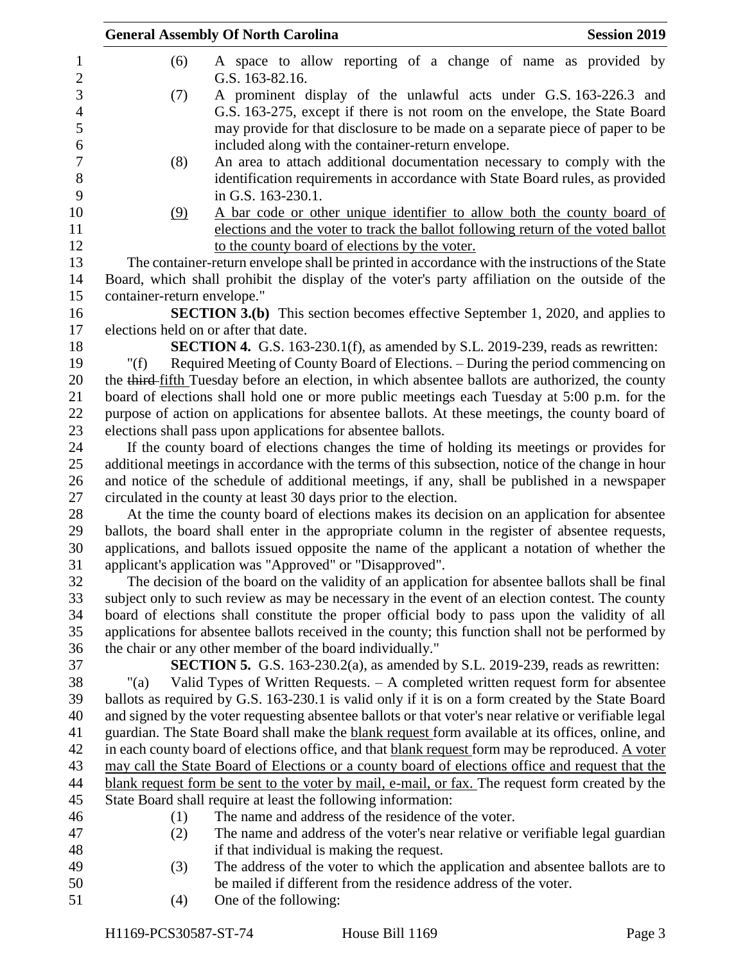|                             | <b>General Assembly Of North Carolina</b>                                                                                                                                                         | <b>Session 2019</b> |
|-----------------------------|---------------------------------------------------------------------------------------------------------------------------------------------------------------------------------------------------|---------------------|
| (6)                         | A space to allow reporting of a change of name as provided by<br>G.S. 163-82.16.                                                                                                                  |                     |
| (7)                         | A prominent display of the unlawful acts under G.S. 163-226.3 and<br>G.S. 163-275, except if there is not room on the envelope, the State Board                                                   |                     |
|                             | may provide for that disclosure to be made on a separate piece of paper to be                                                                                                                     |                     |
|                             | included along with the container-return envelope.                                                                                                                                                |                     |
| (8)                         | An area to attach additional documentation necessary to comply with the<br>identification requirements in accordance with State Board rules, as provided                                          |                     |
|                             | in G.S. 163-230.1.                                                                                                                                                                                |                     |
| (9)                         | A bar code or other unique identifier to allow both the county board of                                                                                                                           |                     |
|                             | elections and the voter to track the ballot following return of the voted ballot<br>to the county board of elections by the voter.                                                                |                     |
|                             | The container-return envelope shall be printed in accordance with the instructions of the State                                                                                                   |                     |
|                             | Board, which shall prohibit the display of the voter's party affiliation on the outside of the                                                                                                    |                     |
| container-return envelope." |                                                                                                                                                                                                   |                     |
|                             | <b>SECTION 3.(b)</b> This section becomes effective September 1, 2020, and applies to                                                                                                             |                     |
|                             | elections held on or after that date.                                                                                                                                                             |                     |
|                             | SECTION 4. G.S. 163-230.1(f), as amended by S.L. 2019-239, reads as rewritten:                                                                                                                    |                     |
| " $(f)$                     | Required Meeting of County Board of Elections. - During the period commencing on                                                                                                                  |                     |
|                             | the third-fifth Tuesday before an election, in which absentee ballots are authorized, the county                                                                                                  |                     |
|                             | board of elections shall hold one or more public meetings each Tuesday at 5:00 p.m. for the                                                                                                       |                     |
|                             | purpose of action on applications for absentee ballots. At these meetings, the county board of                                                                                                    |                     |
|                             | elections shall pass upon applications for absentee ballots.                                                                                                                                      |                     |
|                             | If the county board of elections changes the time of holding its meetings or provides for                                                                                                         |                     |
|                             | additional meetings in accordance with the terms of this subsection, notice of the change in hour<br>and notice of the schedule of additional meetings, if any, shall be published in a newspaper |                     |
|                             | circulated in the county at least 30 days prior to the election.                                                                                                                                  |                     |
|                             | At the time the county board of elections makes its decision on an application for absentee                                                                                                       |                     |
|                             | ballots, the board shall enter in the appropriate column in the register of absentee requests,                                                                                                    |                     |
|                             | applications, and ballots issued opposite the name of the applicant a notation of whether the                                                                                                     |                     |
|                             | applicant's application was "Approved" or "Disapproved".                                                                                                                                          |                     |
|                             | The decision of the board on the validity of an application for absentee ballots shall be final                                                                                                   |                     |
|                             | subject only to such review as may be necessary in the event of an election contest. The county                                                                                                   |                     |
|                             | board of elections shall constitute the proper official body to pass upon the validity of all                                                                                                     |                     |
|                             | applications for absentee ballots received in the county; this function shall not be performed by                                                                                                 |                     |
|                             | the chair or any other member of the board individually."                                                                                                                                         |                     |
|                             | <b>SECTION 5.</b> G.S. 163-230.2(a), as amended by S.L. 2019-239, reads as rewritten:                                                                                                             |                     |
| " $(a)$                     | Valid Types of Written Requests. $-$ A completed written request form for absentee                                                                                                                |                     |
|                             | ballots as required by G.S. 163-230.1 is valid only if it is on a form created by the State Board                                                                                                 |                     |
|                             | and signed by the voter requesting absentee ballots or that voter's near relative or verifiable legal                                                                                             |                     |
|                             | guardian. The State Board shall make the blank request form available at its offices, online, and                                                                                                 |                     |
|                             | in each county board of elections office, and that blank request form may be reproduced. A voter                                                                                                  |                     |
|                             | may call the State Board of Elections or a county board of elections office and request that the                                                                                                  |                     |
|                             | blank request form be sent to the voter by mail, e-mail, or fax. The request form created by the<br>State Board shall require at least the following information:                                 |                     |
| (1)                         | The name and address of the residence of the voter.                                                                                                                                               |                     |
| (2)                         | The name and address of the voter's near relative or verifiable legal guardian                                                                                                                    |                     |
|                             | if that individual is making the request.                                                                                                                                                         |                     |
| (3)                         | The address of the voter to which the application and absentee ballots are to                                                                                                                     |                     |
|                             | be mailed if different from the residence address of the voter.                                                                                                                                   |                     |
| (4)                         | One of the following:                                                                                                                                                                             |                     |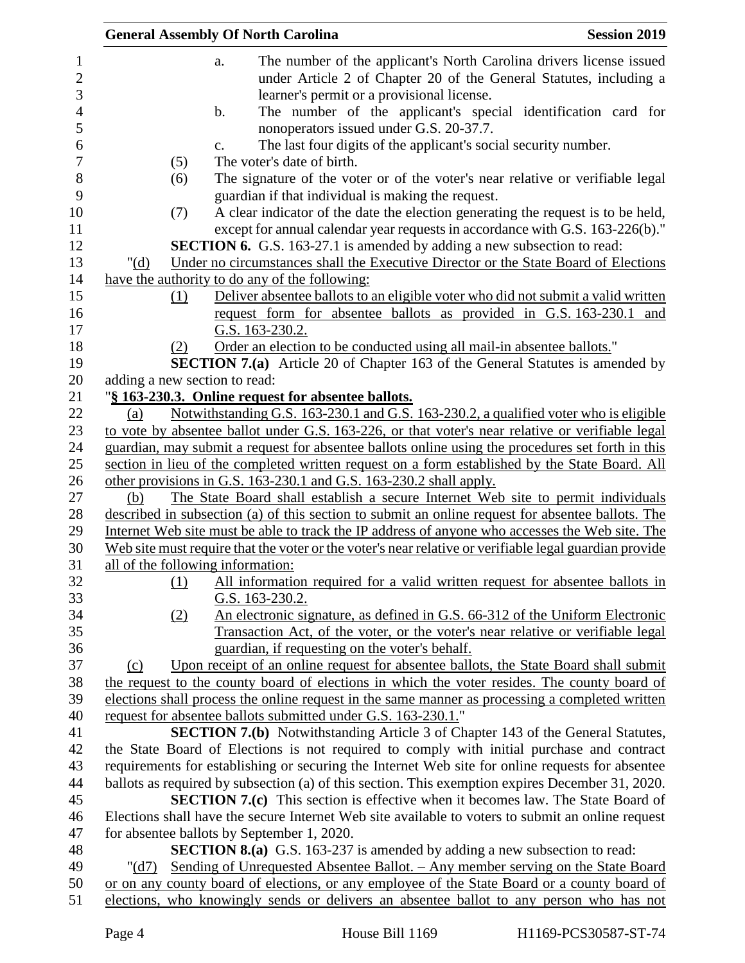|                                   | <b>General Assembly Of North Carolina</b> |                                                                                                                                                                                               | <b>Session 2019</b> |
|-----------------------------------|-------------------------------------------|-----------------------------------------------------------------------------------------------------------------------------------------------------------------------------------------------|---------------------|
| $\mathbf{1}$<br>$\mathbf{2}$<br>3 |                                           | The number of the applicant's North Carolina drivers license issued<br>a.<br>under Article 2 of Chapter 20 of the General Statutes, including a<br>learner's permit or a provisional license. |                     |
| $\overline{4}$<br>5               |                                           | The number of the applicant's special identification card for<br>$\mathbf b$ .<br>nonoperators issued under G.S. 20-37.7.                                                                     |                     |
| 6                                 |                                           | The last four digits of the applicant's social security number.<br>$\mathbf{c}$ .                                                                                                             |                     |
| $\overline{7}$                    | (5)                                       | The voter's date of birth.                                                                                                                                                                    |                     |
| 8                                 | (6)                                       | The signature of the voter or of the voter's near relative or verifiable legal                                                                                                                |                     |
| 9                                 |                                           | guardian if that individual is making the request.                                                                                                                                            |                     |
| 10                                | (7)                                       | A clear indicator of the date the election generating the request is to be held,                                                                                                              |                     |
| 11                                |                                           | except for annual calendar year requests in accordance with G.S. 163-226(b)."                                                                                                                 |                     |
| 12                                |                                           | <b>SECTION 6.</b> G.S. 163-27.1 is amended by adding a new subsection to read:                                                                                                                |                     |
| 13                                | " $(d)$                                   | Under no circumstances shall the Executive Director or the State Board of Elections                                                                                                           |                     |
| 14                                |                                           | have the authority to do any of the following:                                                                                                                                                |                     |
| 15<br>16                          | (1)                                       | Deliver absentee ballots to an eligible voter who did not submit a valid written<br>request form for absentee ballots as provided in G.S. 163-230.1 and                                       |                     |
| 17                                |                                           | G.S. 163-230.2.                                                                                                                                                                               |                     |
| 18<br>19                          | (2)                                       | Order an election to be conducted using all mail-in absentee ballots."<br><b>SECTION 7.(a)</b> Article 20 of Chapter 163 of the General Statutes is amended by                                |                     |
| 20                                |                                           | adding a new section to read:                                                                                                                                                                 |                     |
| 21                                |                                           | "§ 163-230.3. Online request for absentee ballots.                                                                                                                                            |                     |
| 22                                | (a)                                       | Notwithstanding G.S. 163-230.1 and G.S. 163-230.2, a qualified voter who is eligible                                                                                                          |                     |
| 23                                |                                           | to vote by absentee ballot under G.S. 163-226, or that voter's near relative or verifiable legal                                                                                              |                     |
| 24                                |                                           | guardian, may submit a request for absentee ballots online using the procedures set forth in this                                                                                             |                     |
| 25                                |                                           | section in lieu of the completed written request on a form established by the State Board. All                                                                                                |                     |
| 26                                |                                           | other provisions in G.S. 163-230.1 and G.S. 163-230.2 shall apply.                                                                                                                            |                     |
| 27                                | (b)                                       | The State Board shall establish a secure Internet Web site to permit individuals                                                                                                              |                     |
| 28                                |                                           | described in subsection (a) of this section to submit an online request for absentee ballots. The                                                                                             |                     |
| 29                                |                                           | Internet Web site must be able to track the IP address of anyone who accesses the Web site. The                                                                                               |                     |
| 30                                |                                           | Web site must require that the voter or the voter's near relative or verifiable legal guardian provide                                                                                        |                     |
| 31                                |                                           | all of the following information:                                                                                                                                                             |                     |
| 32                                | (1)                                       | All information required for a valid written request for absentee ballots in                                                                                                                  |                     |
| 33                                |                                           | G.S. 163-230.2.                                                                                                                                                                               |                     |
| 34                                | (2)                                       | An electronic signature, as defined in G.S. 66-312 of the Uniform Electronic                                                                                                                  |                     |
| 35                                |                                           | Transaction Act, of the voter, or the voter's near relative or verifiable legal                                                                                                               |                     |
| 36                                |                                           | guardian, if requesting on the voter's behalf.                                                                                                                                                |                     |
| 37                                | (c)                                       | Upon receipt of an online request for absentee ballots, the State Board shall submit                                                                                                          |                     |
| 38                                |                                           | the request to the county board of elections in which the voter resides. The county board of                                                                                                  |                     |
| 39                                |                                           | elections shall process the online request in the same manner as processing a completed written                                                                                               |                     |
| 40                                |                                           | request for absentee ballots submitted under G.S. 163-230.1."                                                                                                                                 |                     |
| 41                                |                                           | <b>SECTION 7.(b)</b> Notwithstanding Article 3 of Chapter 143 of the General Statutes,                                                                                                        |                     |
| 42                                |                                           | the State Board of Elections is not required to comply with initial purchase and contract                                                                                                     |                     |
| 43                                |                                           | requirements for establishing or securing the Internet Web site for online requests for absentee                                                                                              |                     |
| 44                                |                                           | ballots as required by subsection (a) of this section. This exemption expires December 31, 2020.                                                                                              |                     |
| 45                                |                                           | <b>SECTION 7.(c)</b> This section is effective when it becomes law. The State Board of                                                                                                        |                     |
| 46                                |                                           | Elections shall have the secure Internet Web site available to voters to submit an online request                                                                                             |                     |
| 47<br>48                          |                                           | for absentee ballots by September 1, 2020.<br><b>SECTION 8.(a)</b> G.S. 163-237 is amended by adding a new subsection to read:                                                                |                     |
| 49                                | " $(d7)$                                  | <u>Sending of Unrequested Absentee Ballot. – Any member serving on the State Board</u>                                                                                                        |                     |
| 50                                |                                           | or on any county board of elections, or any employee of the State Board or a county board of                                                                                                  |                     |
| 51                                |                                           | elections, who knowingly sends or delivers an absentee ballot to any person who has not                                                                                                       |                     |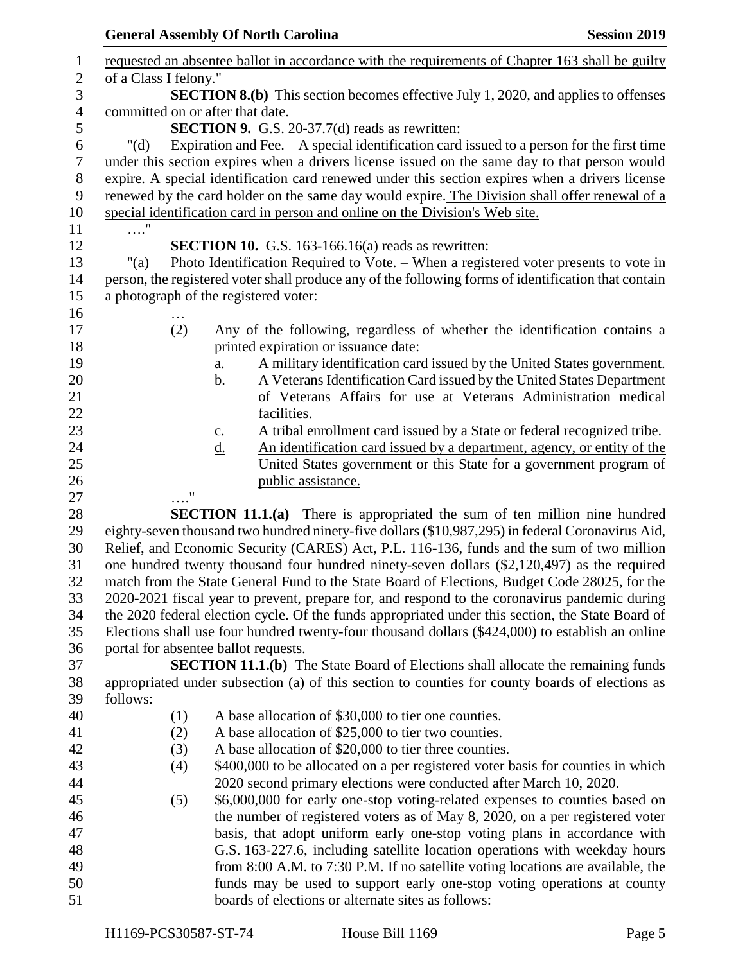|                |                                       | <b>General Assembly Of North Carolina</b>                                                                                                              | <b>Session 2019</b> |
|----------------|---------------------------------------|--------------------------------------------------------------------------------------------------------------------------------------------------------|---------------------|
| 1              |                                       | requested an absentee ballot in accordance with the requirements of Chapter 163 shall be guilty                                                        |                     |
| $\mathbf{2}$   | of a Class I felony."                 |                                                                                                                                                        |                     |
| 3              |                                       | <b>SECTION 8.(b)</b> This section becomes effective July 1, 2020, and applies to offenses                                                              |                     |
| $\overline{4}$ | committed on or after that date.      |                                                                                                                                                        |                     |
| 5              |                                       | <b>SECTION 9.</b> G.S. 20-37.7(d) reads as rewritten:                                                                                                  |                     |
| 6              | " $(d)$                               | Expiration and Fee. $- A$ special identification card issued to a person for the first time                                                            |                     |
| $\tau$         |                                       | under this section expires when a drivers license issued on the same day to that person would                                                          |                     |
| 8              |                                       | expire. A special identification card renewed under this section expires when a drivers license                                                        |                     |
| 9              |                                       | renewed by the card holder on the same day would expire. The Division shall offer renewal of a                                                         |                     |
| 10             |                                       | special identification card in person and online on the Division's Web site.                                                                           |                     |
| 11             | $\cdots$                              |                                                                                                                                                        |                     |
| 12             |                                       | <b>SECTION 10.</b> G.S. 163-166.16(a) reads as rewritten:                                                                                              |                     |
| 13             | " $(a)$                               | Photo Identification Required to Vote. – When a registered voter presents to vote in                                                                   |                     |
| 14             |                                       | person, the registered voter shall produce any of the following forms of identification that contain                                                   |                     |
| 15             | a photograph of the registered voter: |                                                                                                                                                        |                     |
| 16             |                                       |                                                                                                                                                        |                     |
| 17             | (2)                                   | Any of the following, regardless of whether the identification contains a                                                                              |                     |
| 18             |                                       | printed expiration or issuance date:                                                                                                                   |                     |
| 19             |                                       | A military identification card issued by the United States government.<br>a.                                                                           |                     |
| 20             |                                       | A Veterans Identification Card issued by the United States Department<br>$\mathbf b$ .                                                                 |                     |
| 21             |                                       | of Veterans Affairs for use at Veterans Administration medical                                                                                         |                     |
| 22             |                                       | facilities.                                                                                                                                            |                     |
| 23             |                                       | A tribal enrollment card issued by a State or federal recognized tribe.<br>c.                                                                          |                     |
| 24             |                                       | An identification card issued by a department, agency, or entity of the<br><u>d.</u>                                                                   |                     |
| 25             |                                       | United States government or this State for a government program of                                                                                     |                     |
| 26             |                                       | public assistance.                                                                                                                                     |                     |
| 27             |                                       |                                                                                                                                                        |                     |
| 28             |                                       | <b>SECTION 11.1.(a)</b> There is appropriated the sum of ten million nine hundred                                                                      |                     |
| 29             |                                       | eighty-seven thousand two hundred ninety-five dollars (\$10,987,295) in federal Coronavirus Aid,                                                       |                     |
| 30             |                                       | Relief, and Economic Security (CARES) Act, P.L. 116-136, funds and the sum of two million                                                              |                     |
| 31             |                                       | one hundred twenty thousand four hundred ninety-seven dollars (\$2,120,497) as the required                                                            |                     |
| 32             |                                       | match from the State General Fund to the State Board of Elections, Budget Code 28025, for the                                                          |                     |
| 33             |                                       | 2020-2021 fiscal year to prevent, prepare for, and respond to the coronavirus pandemic during                                                          |                     |
| 34             |                                       | the 2020 federal election cycle. Of the funds appropriated under this section, the State Board of                                                      |                     |
| 35             |                                       | Elections shall use four hundred twenty-four thousand dollars (\$424,000) to establish an online                                                       |                     |
| 36             | portal for absentee ballot requests.  |                                                                                                                                                        |                     |
| 37             |                                       | <b>SECTION 11.1.(b)</b> The State Board of Elections shall allocate the remaining funds                                                                |                     |
| 38             |                                       | appropriated under subsection (a) of this section to counties for county boards of elections as                                                        |                     |
| 39             | follows:                              |                                                                                                                                                        |                     |
| 40             | (1)                                   | A base allocation of \$30,000 to tier one counties.                                                                                                    |                     |
| 41             | (2)                                   | A base allocation of \$25,000 to tier two counties.                                                                                                    |                     |
| 42             | (3)                                   | A base allocation of \$20,000 to tier three counties.                                                                                                  |                     |
| 43             | (4)                                   | \$400,000 to be allocated on a per registered voter basis for counties in which                                                                        |                     |
| 44             |                                       | 2020 second primary elections were conducted after March 10, 2020.                                                                                     |                     |
| 45             | (5)                                   | \$6,000,000 for early one-stop voting-related expenses to counties based on                                                                            |                     |
| 46             |                                       | the number of registered voters as of May 8, 2020, on a per registered voter                                                                           |                     |
| 47<br>48       |                                       | basis, that adopt uniform early one-stop voting plans in accordance with<br>G.S. 163-227.6, including satellite location operations with weekday hours |                     |
| 49             |                                       | from 8:00 A.M. to 7:30 P.M. If no satellite voting locations are available, the                                                                        |                     |
| 50             |                                       | funds may be used to support early one-stop voting operations at county                                                                                |                     |
| 51             |                                       | boards of elections or alternate sites as follows:                                                                                                     |                     |
|                |                                       |                                                                                                                                                        |                     |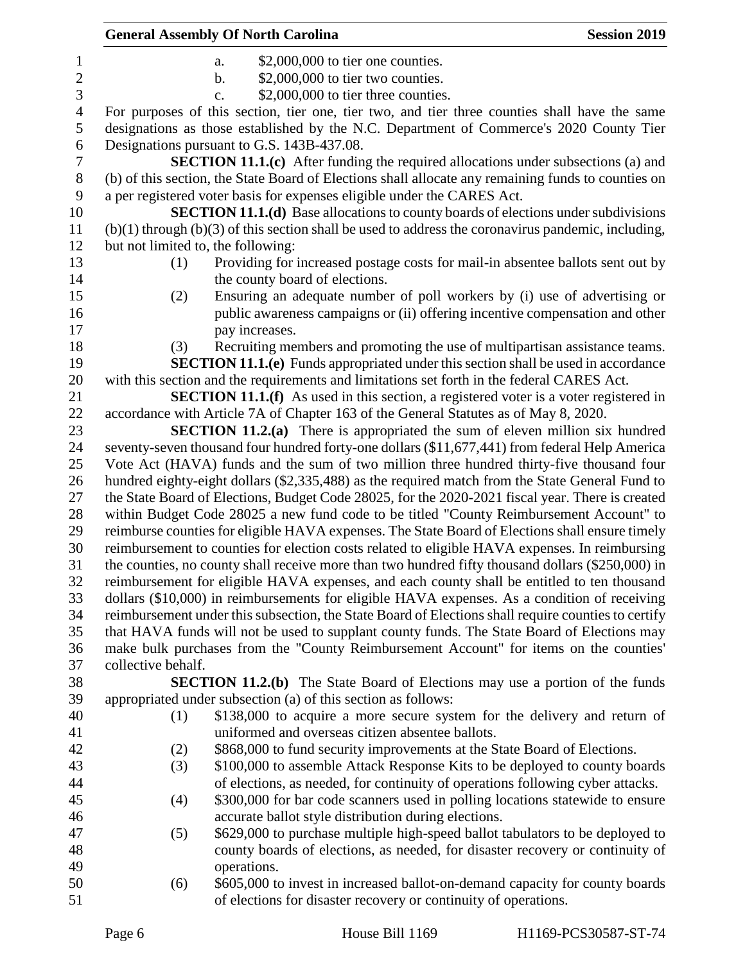|                       |                                    | <b>General Assembly Of North Carolina</b>                                                                                                                                                       | <b>Session 2019</b> |
|-----------------------|------------------------------------|-------------------------------------------------------------------------------------------------------------------------------------------------------------------------------------------------|---------------------|
| $\mathbf{1}$          |                                    | $$2,000,000$ to tier one counties.<br>a.                                                                                                                                                        |                     |
| $\sqrt{2}$            |                                    | \$2,000,000 to tier two counties.<br>$\mathbf b$ .                                                                                                                                              |                     |
| 3                     |                                    | \$2,000,000 to tier three counties.<br>$\mathbf{c}$ .                                                                                                                                           |                     |
| $\overline{4}$        |                                    | For purposes of this section, tier one, tier two, and tier three counties shall have the same                                                                                                   |                     |
| 5                     |                                    | designations as those established by the N.C. Department of Commerce's 2020 County Tier                                                                                                         |                     |
| 6                     |                                    | Designations pursuant to G.S. 143B-437.08.                                                                                                                                                      |                     |
| $\boldsymbol{7}$<br>8 |                                    | <b>SECTION 11.1.(c)</b> After funding the required allocations under subsections (a) and<br>(b) of this section, the State Board of Elections shall allocate any remaining funds to counties on |                     |
| 9                     |                                    | a per registered voter basis for expenses eligible under the CARES Act.                                                                                                                         |                     |
| 10                    |                                    | <b>SECTION 11.1.(d)</b> Base allocations to county boards of elections under subdivisions                                                                                                       |                     |
| 11                    |                                    | $(b)(1)$ through $(b)(3)$ of this section shall be used to address the coronavirus pandemic, including,                                                                                         |                     |
| 12                    | but not limited to, the following: |                                                                                                                                                                                                 |                     |
| 13                    | (1)                                | Providing for increased postage costs for mail-in absentee ballots sent out by                                                                                                                  |                     |
| 14                    |                                    | the county board of elections.                                                                                                                                                                  |                     |
| 15                    | (2)                                | Ensuring an adequate number of poll workers by (i) use of advertising or                                                                                                                        |                     |
| 16<br>17              |                                    | public awareness campaigns or (ii) offering incentive compensation and other<br>pay increases.                                                                                                  |                     |
| 18                    | (3)                                | Recruiting members and promoting the use of multipartisan assistance teams.                                                                                                                     |                     |
| 19                    |                                    | <b>SECTION 11.1.(e)</b> Funds appropriated under this section shall be used in accordance                                                                                                       |                     |
| 20                    |                                    | with this section and the requirements and limitations set forth in the federal CARES Act.                                                                                                      |                     |
| 21                    |                                    | <b>SECTION 11.1.(f)</b> As used in this section, a registered voter is a voter registered in                                                                                                    |                     |
| 22                    |                                    | accordance with Article 7A of Chapter 163 of the General Statutes as of May 8, 2020.                                                                                                            |                     |
| 23                    |                                    | <b>SECTION 11.2.(a)</b> There is appropriated the sum of eleven million six hundred                                                                                                             |                     |
| 24                    |                                    | seventy-seven thousand four hundred forty-one dollars (\$11,677,441) from federal Help America                                                                                                  |                     |
| 25                    |                                    | Vote Act (HAVA) funds and the sum of two million three hundred thirty-five thousand four                                                                                                        |                     |
| 26                    |                                    | hundred eighty-eight dollars (\$2,335,488) as the required match from the State General Fund to                                                                                                 |                     |
| 27                    |                                    | the State Board of Elections, Budget Code 28025, for the 2020-2021 fiscal year. There is created                                                                                                |                     |
| 28                    |                                    | within Budget Code 28025 a new fund code to be titled "County Reimbursement Account" to                                                                                                         |                     |
| 29                    |                                    | reimburse counties for eligible HAVA expenses. The State Board of Elections shall ensure timely                                                                                                 |                     |
| 30<br>31              |                                    | reimbursement to counties for election costs related to eligible HAVA expenses. In reimbursing                                                                                                  |                     |
| 32                    |                                    | the counties, no county shall receive more than two hundred fifty thousand dollars (\$250,000) in                                                                                               |                     |
| 33                    |                                    | reimbursement for eligible HAVA expenses, and each county shall be entitled to ten thousand<br>dollars (\$10,000) in reimbursements for eligible HAVA expenses. As a condition of receiving     |                     |
| 34                    |                                    | reimbursement under this subsection, the State Board of Elections shall require counties to certify                                                                                             |                     |
| 35                    |                                    | that HAVA funds will not be used to supplant county funds. The State Board of Elections may                                                                                                     |                     |
| 36                    |                                    | make bulk purchases from the "County Reimbursement Account" for items on the counties'                                                                                                          |                     |
| 37                    | collective behalf.                 |                                                                                                                                                                                                 |                     |
| 38                    |                                    | <b>SECTION 11.2.(b)</b> The State Board of Elections may use a portion of the funds                                                                                                             |                     |
| 39                    |                                    | appropriated under subsection (a) of this section as follows:                                                                                                                                   |                     |
| 40                    | (1)                                | \$138,000 to acquire a more secure system for the delivery and return of                                                                                                                        |                     |
| 41                    |                                    | uniformed and overseas citizen absentee ballots.                                                                                                                                                |                     |
| 42                    | (2)                                | \$868,000 to fund security improvements at the State Board of Elections.                                                                                                                        |                     |
| 43                    | (3)                                | \$100,000 to assemble Attack Response Kits to be deployed to county boards                                                                                                                      |                     |
| 44                    |                                    | of elections, as needed, for continuity of operations following cyber attacks.                                                                                                                  |                     |
| 45                    | (4)                                | \$300,000 for bar code scanners used in polling locations statewide to ensure                                                                                                                   |                     |
| 46                    |                                    | accurate ballot style distribution during elections.                                                                                                                                            |                     |
| 47                    | (5)                                | \$629,000 to purchase multiple high-speed ballot tabulators to be deployed to                                                                                                                   |                     |
| 48                    |                                    | county boards of elections, as needed, for disaster recovery or continuity of                                                                                                                   |                     |
| 49                    |                                    | operations.                                                                                                                                                                                     |                     |
| 50                    | (6)                                | \$605,000 to invest in increased ballot-on-demand capacity for county boards                                                                                                                    |                     |
| 51                    |                                    | of elections for disaster recovery or continuity of operations.                                                                                                                                 |                     |